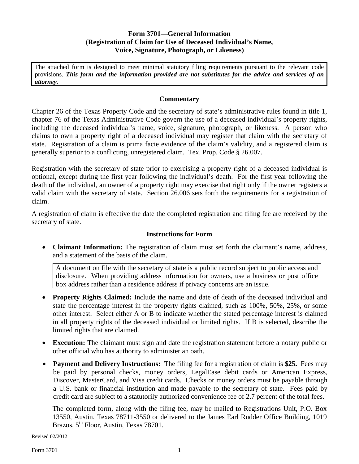## **Form 3701—General Information (Registration of Claim for Use of Deceased Individual's Name, Voice, Signature, Photograph, or Likeness)**

The attached form is designed to meet minimal statutory filing requirements pursuant to the relevant code provisions. *This form and the information provided are not substitutes for the advice and services of an attorney.*

## **Commentary**

Chapter 26 of the Texas Property Code and the secretary of state's administrative rules found in title 1, chapter 76 of the Texas Administrative Code govern the use of a deceased individual's property rights, including the deceased individual's name, voice, signature, photograph, or likeness. A person who claims to own a property right of a deceased individual may register that claim with the secretary of state. Registration of a claim is prima facie evidence of the claim's validity, and a registered claim is generally superior to a conflicting, unregistered claim. Tex. Prop. Code § 26.007.

Registration with the secretary of state prior to exercising a property right of a deceased individual is optional, except during the first year following the individual's death. For the first year following the death of the individual, an owner of a property right may exercise that right only if the owner registers a valid claim with the secretary of state. Section 26.006 sets forth the requirements for a registration of claim.

A registration of claim is effective the date the completed registration and filing fee are received by the secretary of state.

## **Instructions for Form**

• **Claimant Information:** The registration of claim must set forth the claimant's name, address, and a statement of the basis of the claim.

A document on file with the secretary of state is a public record subject to public access and disclosure. When providing address information for owners, use a business or post office box address rather than a residence address if privacy concerns are an issue.

- **Property Rights Claimed:** Include the name and date of death of the deceased individual and state the percentage interest in the property rights claimed, such as 100%, 50%, 25%, or some other interest. Select either A or B to indicate whether the stated percentage interest is claimed in all property rights of the deceased individual or limited rights. If B is selected, describe the limited rights that are claimed.
- **Execution:** The claimant must sign and date the registration statement before a notary public or other official who has authority to administer an oath.
- **Payment and Delivery Instructions:** The filing fee for a registration of claim is **\$25.** Fees may be paid by personal checks, money orders, LegalEase debit cards or American Express, Discover, MasterCard, and Visa credit cards. Checks or money orders must be payable through a U.S. bank or financial institution and made payable to the secretary of state. Fees paid by credit card are subject to a statutorily authorized convenience fee of 2.7 percent of the total fees.

The completed form, along with the filing fee, may be mailed to Registrations Unit, P.O. Box 13550, Austin, Texas 78711-3550 or delivered to the James Earl Rudder Office Building, 1019 Brazos, 5<sup>th</sup> Floor, Austin, Texas 78701.

Revised 02/2012